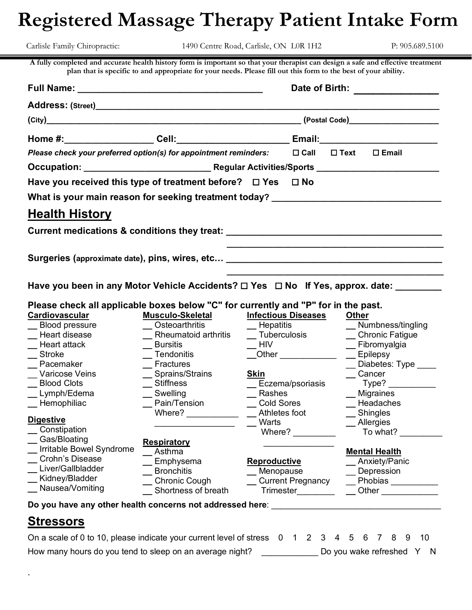# **Registered Massage Therapy Patient Intake Form**

Carlisle Family Chiropractic: 1490 Centre Road, Carlisle, ON L0R 1H2 P: 905.689.5100

**A fully completed and accurate health history form is important so that your therapist can design a safe and effective treatment plan that is specific to and appropriate for your needs. Please fill out this form to the best of your ability.**

|                                                                                                                                                                                                                                                                                                             |                                                                                                                                                                                                                                    | Date of Birth:                                                                                                                                                                                                                                                                                                                                                                                                      |                                                                                                                                                                                                                             |  |  |  |  |  |
|-------------------------------------------------------------------------------------------------------------------------------------------------------------------------------------------------------------------------------------------------------------------------------------------------------------|------------------------------------------------------------------------------------------------------------------------------------------------------------------------------------------------------------------------------------|---------------------------------------------------------------------------------------------------------------------------------------------------------------------------------------------------------------------------------------------------------------------------------------------------------------------------------------------------------------------------------------------------------------------|-----------------------------------------------------------------------------------------------------------------------------------------------------------------------------------------------------------------------------|--|--|--|--|--|
|                                                                                                                                                                                                                                                                                                             |                                                                                                                                                                                                                                    |                                                                                                                                                                                                                                                                                                                                                                                                                     |                                                                                                                                                                                                                             |  |  |  |  |  |
|                                                                                                                                                                                                                                                                                                             |                                                                                                                                                                                                                                    | (Postal Code) <b>Container the Container Container and Code</b>                                                                                                                                                                                                                                                                                                                                                     |                                                                                                                                                                                                                             |  |  |  |  |  |
|                                                                                                                                                                                                                                                                                                             |                                                                                                                                                                                                                                    |                                                                                                                                                                                                                                                                                                                                                                                                                     |                                                                                                                                                                                                                             |  |  |  |  |  |
| Please check your preferred option(s) for appointment reminders:                                                                                                                                                                                                                                            |                                                                                                                                                                                                                                    | $\Box$ Call                                                                                                                                                                                                                                                                                                                                                                                                         | $\square$ Text<br>$\square$ Email                                                                                                                                                                                           |  |  |  |  |  |
|                                                                                                                                                                                                                                                                                                             |                                                                                                                                                                                                                                    |                                                                                                                                                                                                                                                                                                                                                                                                                     |                                                                                                                                                                                                                             |  |  |  |  |  |
| Have you received this type of treatment before? □ Yes                                                                                                                                                                                                                                                      |                                                                                                                                                                                                                                    | $\square$ No                                                                                                                                                                                                                                                                                                                                                                                                        |                                                                                                                                                                                                                             |  |  |  |  |  |
| What is your main reason for seeking treatment today? __________________________                                                                                                                                                                                                                            |                                                                                                                                                                                                                                    |                                                                                                                                                                                                                                                                                                                                                                                                                     |                                                                                                                                                                                                                             |  |  |  |  |  |
| <b>Health History</b>                                                                                                                                                                                                                                                                                       |                                                                                                                                                                                                                                    |                                                                                                                                                                                                                                                                                                                                                                                                                     |                                                                                                                                                                                                                             |  |  |  |  |  |
| Current medications & conditions they treat: ___________________________________                                                                                                                                                                                                                            |                                                                                                                                                                                                                                    |                                                                                                                                                                                                                                                                                                                                                                                                                     |                                                                                                                                                                                                                             |  |  |  |  |  |
|                                                                                                                                                                                                                                                                                                             |                                                                                                                                                                                                                                    |                                                                                                                                                                                                                                                                                                                                                                                                                     |                                                                                                                                                                                                                             |  |  |  |  |  |
| Surgeries (approximate date), pins, wires, etc [19] Danis Contractor Control of Surgeries (approximate date), pins, wires, etc [20] Danis Contractor Contractor Contractor Contractor Contractor Contractor Contractor C                                                                                    |                                                                                                                                                                                                                                    |                                                                                                                                                                                                                                                                                                                                                                                                                     |                                                                                                                                                                                                                             |  |  |  |  |  |
|                                                                                                                                                                                                                                                                                                             |                                                                                                                                                                                                                                    |                                                                                                                                                                                                                                                                                                                                                                                                                     |                                                                                                                                                                                                                             |  |  |  |  |  |
| Have you been in any Motor Vehicle Accidents? $\Box$ Yes $\Box$ No If Yes, approx. date: __                                                                                                                                                                                                                 |                                                                                                                                                                                                                                    |                                                                                                                                                                                                                                                                                                                                                                                                                     |                                                                                                                                                                                                                             |  |  |  |  |  |
| Please check all applicable boxes below "C" for currently and "P" for in the past.<br>Cardiovascular<br>__ Blood pressure<br>Heart disease<br>Heart attack<br>Stroke<br>Pacemaker<br>Varicose Veins<br><b>Blood Clots</b><br>Lymph/Edema<br>Hemophiliac<br><b>Digestive</b><br>Constipation<br>Gas/Bloating | Musculo-Skeletal<br><b>Osteoarthritis</b><br>Rheumatoid arthritis<br><b>Bursitis</b><br>Tendonitis<br>Fractures<br>Sprains/Strains<br><b>Stiffness</b><br>Swelling<br>Pain/Tension<br>Where? $\qquad \qquad$<br><b>Respiratory</b> | <b>Infectious Diseases</b><br>$\_\$ Hepatitis<br><b>Tuberculosis</b><br>$-HIV$<br><b>Other Contract Contract Contract Contract Contract Contract Contract Contract Contract Contract Contract Contract Contract Contract Contract Contract Contract Contract Contract Contract Contract Contract Contract Contra</b><br>Skin<br>Eczema/psoriasis<br>Rashes<br><b>Cold Sores</b><br>Athletes foot<br>Warts<br>Where? | <b>Other</b><br>__ Numbness/tingling<br>_ Chronic Fatigue<br>_ Fibromyalgia<br>$\equiv$ Epilepsy<br>Diabetes: Type ____<br>Cancer<br>Type? __________<br>_ Migraines<br>Headaches<br>$\_$ Shingles<br>Allergies<br>To what? |  |  |  |  |  |
| Irritable Bowel Syndrome<br>Crohn's Disease<br>Liver/Gallbladder<br>Kidney/Bladder<br>Nausea/Vomiting<br>Do you have any other health concerns not addressed here:                                                                                                                                          | Asthma<br>Emphysema<br><b>Bronchitis</b><br><b>Chronic Cough</b><br>Shortness of breath                                                                                                                                            | <b>Reproductive</b><br>Menopause<br><b>Current Pregnancy</b><br>Trimester                                                                                                                                                                                                                                                                                                                                           | <b>Mental Health</b><br>Anxiety/Panic<br>Depression<br>Phobias ____<br><b>Other Community</b>                                                                                                                               |  |  |  |  |  |

# **Stressors**

`

| On a scale of 0 to 10, please indicate your current level of stress 0 1 2 3 4 5 6 7 8 9 10 |  |  |  |  |  |                           |  |
|--------------------------------------------------------------------------------------------|--|--|--|--|--|---------------------------|--|
| How many hours do you tend to sleep on an average night?                                   |  |  |  |  |  | Do you wake refreshed Y N |  |